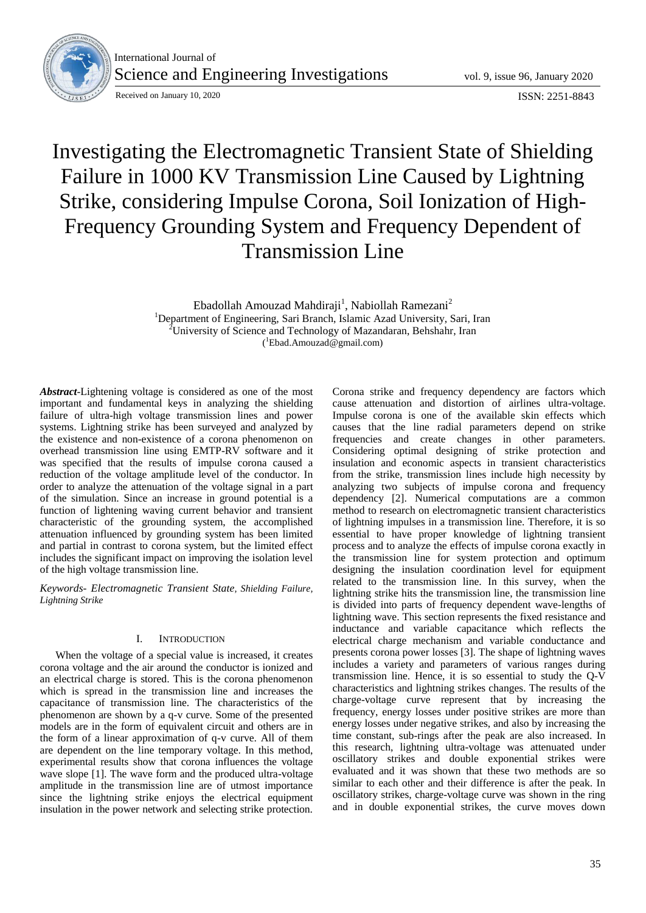

International Journal of Science and Engineering Investigations vol. 9, issue 96, January 2020

Received on January 10, 2020<br>
ISSN: 2251-8843

# Investigating the Electromagnetic Transient State of Shielding Failure in 1000 KV Transmission Line Caused by Lightning Strike, considering Impulse Corona, Soil Ionization of High-Frequency Grounding System and Frequency Dependent of Transmission Line

Ebadollah Amouzad Mahdiraji<sup>1</sup>, Nabiollah Ramezani<sup>2</sup> <sup>1</sup>Department of Engineering, Sari Branch, Islamic Azad University, Sari, Iran <sup>2</sup>University of Science and Technology of Mazandaran, Behshahr, Iran ( <sup>1</sup>Ebad.Amouzad@gmail.com)

*Abstract*-Lightening voltage is considered as one of the most important and fundamental keys in analyzing the shielding failure of ultra-high voltage transmission lines and power systems. Lightning strike has been surveyed and analyzed by the existence and non-existence of a corona phenomenon on overhead transmission line using EMTP-RV software and it was specified that the results of impulse corona caused a reduction of the voltage amplitude level of the conductor. In order to analyze the attenuation of the voltage signal in a part of the simulation. Since an increase in ground potential is a function of lightening waving current behavior and transient characteristic of the grounding system, the accomplished attenuation influenced by grounding system has been limited and partial in contrast to corona system, but the limited effect includes the significant impact on improving the isolation level of the high voltage transmission line.

*Keywords- Electromagnetic Transient State, Shielding Failure, Lightning Strike*

## I. INTRODUCTION

When the voltage of a special value is increased, it creates corona voltage and the air around the conductor is ionized and an electrical charge is stored. This is the corona phenomenon which is spread in the transmission line and increases the capacitance of transmission line. The characteristics of the phenomenon are shown by a q-v curve. Some of the presented models are in the form of equivalent circuit and others are in the form of a linear approximation of q-v curve. All of them are dependent on the line temporary voltage. In this method, experimental results show that corona influences the voltage wave slope [1]. The wave form and the produced ultra-voltage amplitude in the transmission line are of utmost importance since the lightning strike enjoys the electrical equipment insulation in the power network and selecting strike protection.

Corona strike and frequency dependency are factors which cause attenuation and distortion of airlines ultra-voltage. Impulse corona is one of the available skin effects which causes that the line radial parameters depend on strike frequencies and create changes in other parameters. Considering optimal designing of strike protection and insulation and economic aspects in transient characteristics from the strike, transmission lines include high necessity by analyzing two subjects of impulse corona and frequency dependency [2]. Numerical computations are a common method to research on electromagnetic transient characteristics of lightning impulses in a transmission line. Therefore, it is so essential to have proper knowledge of lightning transient process and to analyze the effects of impulse corona exactly in the transmission line for system protection and optimum designing the insulation coordination level for equipment related to the transmission line. In this survey, when the lightning strike hits the transmission line, the transmission line is divided into parts of frequency dependent wave-lengths of lightning wave. This section represents the fixed resistance and inductance and variable capacitance which reflects the electrical charge mechanism and variable conductance and presents corona power losses [3]. The shape of lightning waves includes a variety and parameters of various ranges during transmission line. Hence, it is so essential to study the Q-V characteristics and lightning strikes changes. The results of the charge-voltage curve represent that by increasing the frequency, energy losses under positive strikes are more than energy losses under negative strikes, and also by increasing the time constant, sub-rings after the peak are also increased. In this research, lightning ultra-voltage was attenuated under oscillatory strikes and double exponential strikes were evaluated and it was shown that these two methods are so similar to each other and their difference is after the peak. In oscillatory strikes, charge-voltage curve was shown in the ring and in double exponential strikes, the curve moves down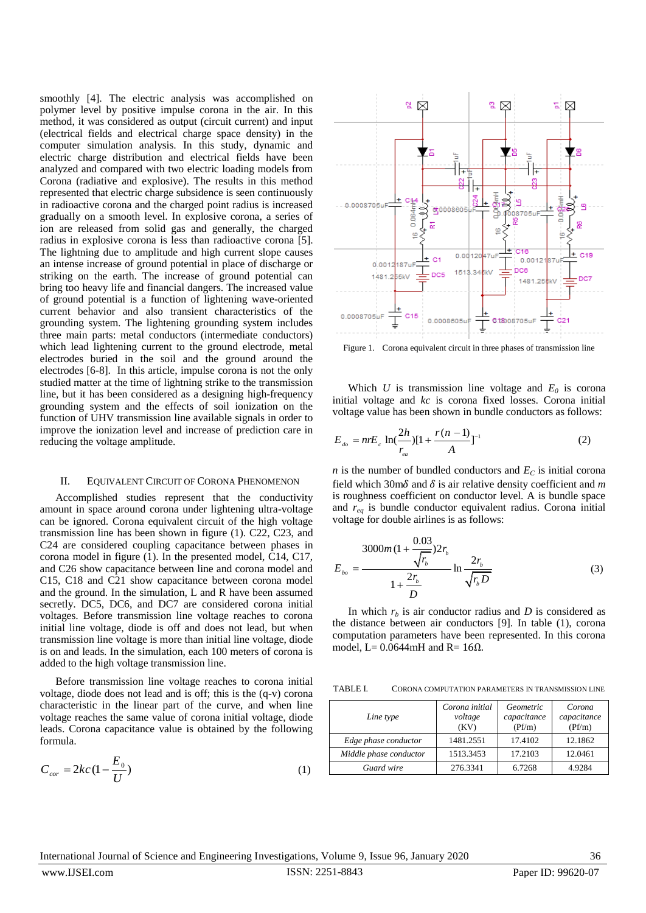smoothly [4]. The electric analysis was accomplished on polymer level by positive impulse corona in the air. In this method, it was considered as output (circuit current) and input (electrical fields and electrical charge space density) in the computer simulation analysis. In this study, dynamic and electric charge distribution and electrical fields have been analyzed and compared with two electric loading models from Corona (radiative and explosive). The results in this method represented that electric charge subsidence is seen continuously in radioactive corona and the charged point radius is increased gradually on a smooth level. In explosive corona, a series of ion are released from solid gas and generally, the charged radius in explosive corona is less than radioactive corona [5]. The lightning due to amplitude and high current slope causes an intense increase of ground potential in place of discharge or striking on the earth. The increase of ground potential can bring too heavy life and financial dangers. The increased value of ground potential is a function of lightening wave-oriented current behavior and also transient characteristics of the grounding system. The lightening grounding system includes three main parts: metal conductors (intermediate conductors) which lead lightening current to the ground electrode, metal electrodes buried in the soil and the ground around the electrodes [6-8]. In this article, impulse corona is not the only studied matter at the time of lightning strike to the transmission line, but it has been considered as a designing high-frequency grounding system and the effects of soil ionization on the function of UHV transmission line available signals in order to improve the ionization level and increase of prediction care in reducing the voltage amplitude.

## II. EQUIVALENT CIRCUIT OF CORONA PHENOMENON

Accomplished studies represent that the conductivity amount in space around corona under lightening ultra-voltage can be ignored. Corona equivalent circuit of the high voltage transmission line has been shown in figure (1). C22, C23, and C24 are considered coupling capacitance between phases in corona model in figure (1). In the presented model, C14, C17, and C26 show capacitance between line and corona model and C15, C18 and C21 show capacitance between corona model and the ground. In the simulation, L and R have been assumed secretly. DC5, DC6, and DC7 are considered corona initial voltages. Before transmission line voltage reaches to corona initial line voltage, diode is off and does not lead, but when transmission line voltage is more than initial line voltage, diode is on and leads. In the simulation, each 100 meters of corona is added to the high voltage transmission line.

Before transmission line voltage reaches to corona initial voltage, diode does not lead and is off; this is the (q-v) corona characteristic in the linear part of the curve, and when line voltage reaches the same value of corona initial voltage, diode leads. Corona capacitance value is obtained by the following formula.

$$
C_{cor} = 2kc\left(1 - \frac{E_0}{U}\right) \tag{1}
$$



Figure 1. Corona equivalent circuit in three phases of transmission line

Which  $U$  is transmission line voltage and  $E_0$  is corona initial voltage and *kc* is corona fixed losses. Corona initial voltage value has been shown in bundle conductors as follows:

$$
E_{_{do}} = nrE_c \ln(\frac{2h}{r_{_{ea}}})[1 + \frac{r(n-1)}{A}]^{-1}
$$
 (2)

*n* is the number of bundled conductors and  $E<sub>C</sub>$  is initial corona field which 30m $\delta$  and  $\delta$  is air relative density coefficient and *m* is roughness coefficient on conductor level. A is bundle space and *req* is bundle conductor equivalent radius. Corona initial voltage for double airlines is as follows:

$$
E_{_{bo}} = \frac{3000m(1 + \frac{0.03}{\sqrt{r_b}})2r_b}{1 + \frac{2r_b}{D}} \ln \frac{2r_b}{\sqrt{r_b D}}
$$
(3)

In which  $r<sub>b</sub>$  is air conductor radius and *D* is considered as the distance between air conductors [9]. In table (1), corona computation parameters have been represented. In this corona model, L=  $0.0644$ mH and R=  $16\Omega$ .

TABLE I. CORONA COMPUTATION PARAMETERS IN TRANSMISSION LINE

| Line type              | Corona initial<br>voltage<br>(KV) | Geometric<br>capacitance<br>(Pf/m) | Corona<br>capacitance<br>(Pf/m) |
|------------------------|-----------------------------------|------------------------------------|---------------------------------|
| Edge phase conductor   | 1481.2551                         | 17.4102                            | 12.1862                         |
| Middle phase conductor | 1513.3453                         | 17.2103                            | 12.0461                         |
| Guard wire             | 276.3341                          | 6.7268                             | 4.9284                          |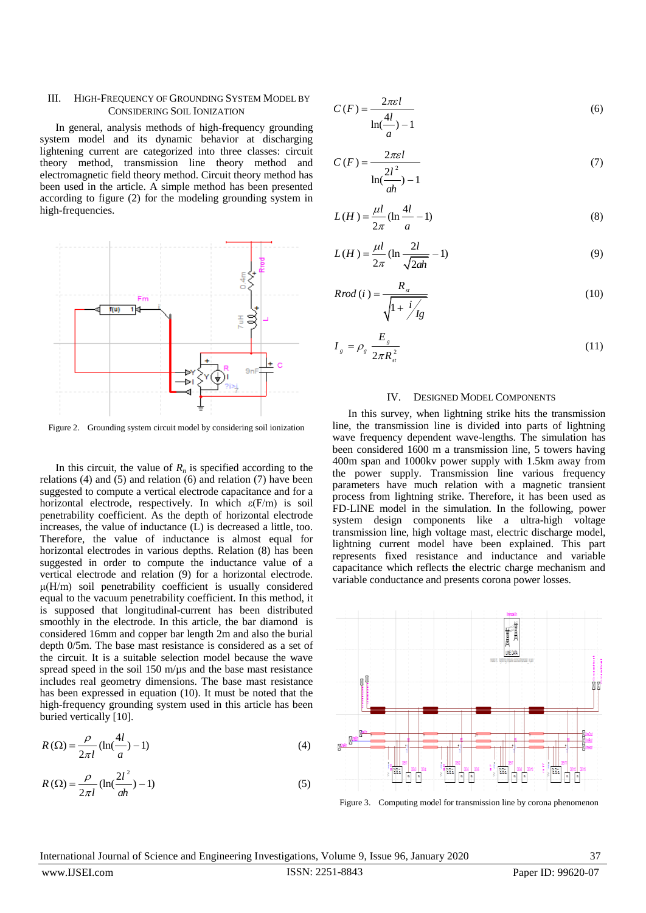## III. HIGH-FREQUENCY OF GROUNDING SYSTEM MODEL BY CONSIDERING SOIL IONIZATION

In general, analysis methods of high-frequency grounding system model and its dynamic behavior at discharging lightening current are categorized into three classes: circuit theory method, transmission line theory method and electromagnetic field theory method. Circuit theory method has been used in the article. A simple method has been presented according to figure (2) for the modeling grounding system in high-frequencies.



Figure 2. Grounding system circuit model by considering soil ionization

In this circuit, the value of  $R_n$  is specified according to the relations (4) and (5) and relation (6) and relation (7) have been suggested to compute a vertical electrode capacitance and for a horizontal electrode, respectively. In which  $\varepsilon$ (F/m) is soil penetrability coefficient. As the depth of horizontal electrode increases, the value of inductance (L) is decreased a little, too. Therefore, the value of inductance is almost equal for horizontal electrodes in various depths. Relation (8) has been suggested in order to compute the inductance value of a vertical electrode and relation (9) for a horizontal electrode. μ(H/m) soil penetrability coefficient is usually considered equal to the vacuum penetrability coefficient. In this method, it is supposed that longitudinal-current has been distributed smoothly in the electrode. In this article, the bar diamond is considered 16mm and copper bar length 2m and also the burial depth 0/5m. The base mast resistance is considered as a set of the circuit. It is a suitable selection model because the wave spread speed in the soil  $150 \text{ m/}\mu\text{s}$  and the base mast resistance includes real geometry dimensions. The base mast resistance has been expressed in equation (10). It must be noted that the high-frequency grounding system used in this article has been buried vertically [10].

$$
R\left(\Omega\right) = \frac{\rho}{2\pi l} \left(\ln\left(\frac{4l}{a}\right) - 1\right) \tag{4}
$$

$$
R\left(\Omega\right) = \frac{\rho}{2\pi l} \left(\ln\left(\frac{2l^2}{ah}\right) - 1\right) \tag{5}
$$

$$
C(F) = \frac{2\pi\epsilon l}{\ln(\frac{4l}{a}) - 1}
$$
 (6)

$$
C(F) = \frac{2\pi\epsilon l}{\ln(\frac{2l^2}{ah}) - 1}
$$
 (7)

$$
L(H) = \frac{\mu l}{2\pi} (\ln \frac{4l}{a} - 1)
$$
 (8)

$$
L(H) = \frac{\mu l}{2\pi} (\ln \frac{2l}{\sqrt{2ah}} - 1)
$$
 (9)

$$
Rrod(i) = \frac{R_{st}}{\sqrt{1 + \frac{i}{fg}}}
$$
\n(10)

$$
I_{g} = \rho_{g} \frac{E_{g}}{2\pi R_{st}^{2}}
$$
 (11)

## IV. DESIGNED MODEL COMPONENTS

In this survey, when lightning strike hits the transmission line, the transmission line is divided into parts of lightning wave frequency dependent wave-lengths. The simulation has been considered 1600 m a transmission line, 5 towers having 400m span and 1000kv power supply with 1.5km away from the power supply. Transmission line various frequency parameters have much relation with a magnetic transient process from lightning strike. Therefore, it has been used as FD-LINE model in the simulation. In the following, power system design components like a ultra-high voltage transmission line, high voltage mast, electric discharge model, lightning current model have been explained. This part represents fixed resistance and inductance and variable capacitance which reflects the electric charge mechanism and variable conductance and presents corona power losses.



Figure 3. Computing model for transmission line by corona phenomenon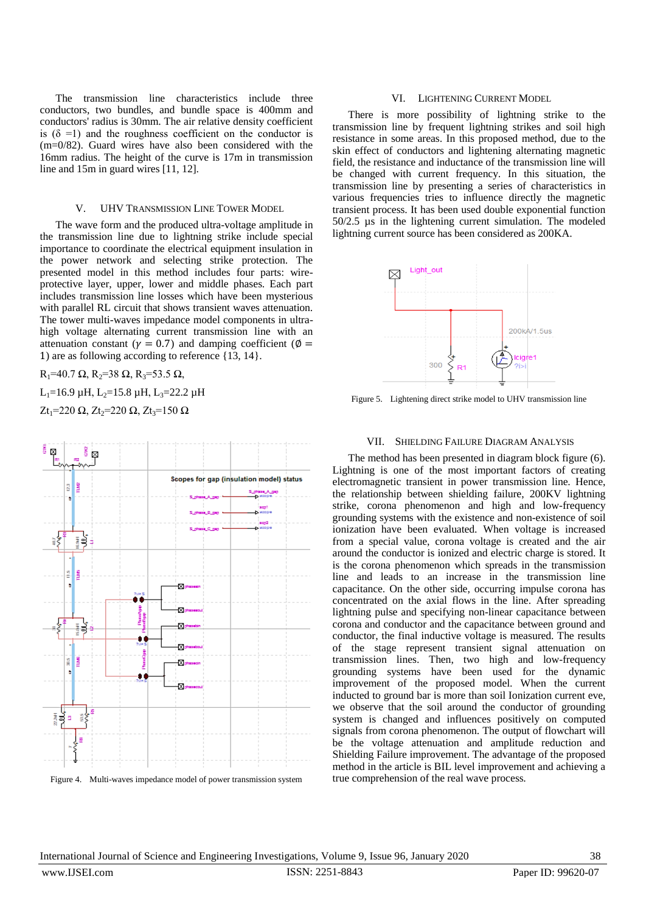The transmission line characteristics include three conductors, two bundles, and bundle space is 400mm and conductors' radius is 30mm. The air relative density coefficient is  $(\delta = 1)$  and the roughness coefficient on the conductor is (m=0/82). Guard wires have also been considered with the 16mm radius. The height of the curve is 17m in transmission line and 15m in guard wires [11, 12].

# V. UHV TRANSMISSION LINE TOWER MODEL

The wave form and the produced ultra-voltage amplitude in the transmission line due to lightning strike include special importance to coordinate the electrical equipment insulation in the power network and selecting strike protection. The presented model in this method includes four parts: wireprotective layer, upper, lower and middle phases. Each part includes transmission line losses which have been mysterious with parallel RL circuit that shows transient waves attenuation. The tower multi-waves impedance model components in ultrahigh voltage alternating current transmission line with an attenuation constant ( $\gamma = 0.7$ ) and damping coefficient ( $\phi =$ ) are as following according to reference {13, 14}.

 $R_1$ =40.7 Ω,  $R_2$ =38 Ω,  $R_3$ =53.5 Ω, L<sub>1</sub>=16.9 µH, L<sub>2</sub>=15.8 µH, L<sub>3</sub>=22.2 µH

 $Zt_1=220$  Ω,  $Zt_2=220$  Ω,  $Zt_3=150$  Ω



## Figure 4. Multi-waves impedance model of power transmission system

### VI. LIGHTENING CURRENT MODEL

There is more possibility of lightning strike to the transmission line by frequent lightning strikes and soil high resistance in some areas. In this proposed method, due to the skin effect of conductors and lightening alternating magnetic field, the resistance and inductance of the transmission line will be changed with current frequency. In this situation, the transmission line by presenting a series of characteristics in various frequencies tries to influence directly the magnetic transient process. It has been used double exponential function 50/2.5 µs in the lightening current simulation. The modeled lightning current source has been considered as 200KA.



Figure 5. Lightening direct strike model to UHV transmission line

## VII. SHIELDING FAILURE DIAGRAM ANALYSIS

The method has been presented in diagram block figure (6). Lightning is one of the most important factors of creating electromagnetic transient in power transmission line. Hence, the relationship between shielding failure, 200KV lightning strike, corona phenomenon and high and low-frequency grounding systems with the existence and non-existence of soil ionization have been evaluated. When voltage is increased from a special value, corona voltage is created and the air around the conductor is ionized and electric charge is stored. It is the corona phenomenon which spreads in the transmission line and leads to an increase in the transmission line capacitance. On the other side, occurring impulse corona has concentrated on the axial flows in the line. After spreading lightning pulse and specifying non-linear capacitance between corona and conductor and the capacitance between ground and conductor, the final inductive voltage is measured. The results of the stage represent transient signal attenuation on transmission lines. Then, two high and low-frequency grounding systems have been used for the dynamic improvement of the proposed model. When the current inducted to ground bar is more than soil Ionization current eve, we observe that the soil around the conductor of grounding system is changed and influences positively on computed signals from corona phenomenon. The output of flowchart will be the voltage attenuation and amplitude reduction and Shielding Failure improvement. The advantage of the proposed method in the article is BIL level improvement and achieving a true comprehension of the real wave process.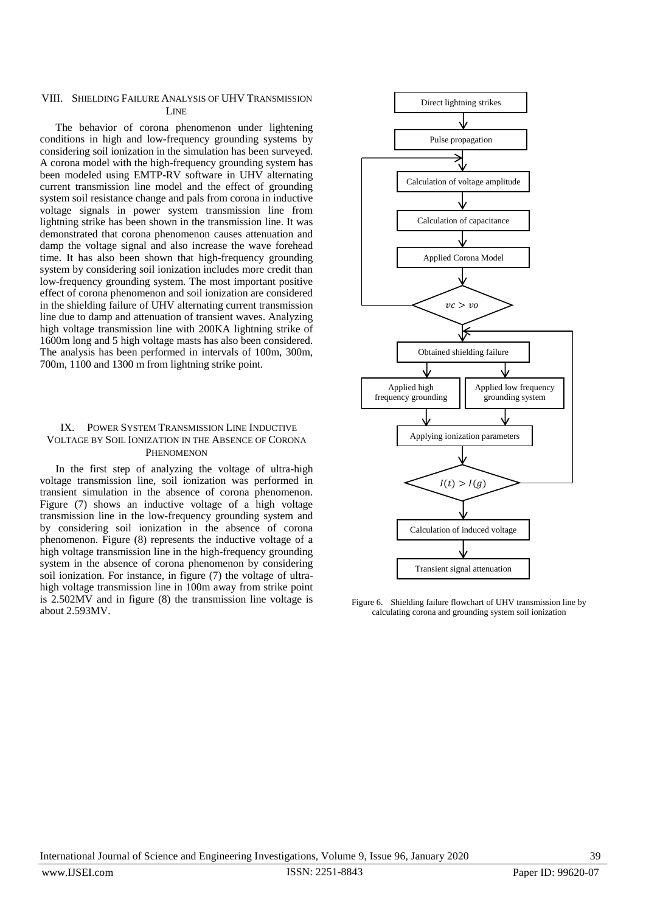## VIII. SHIELDING FAILURE ANALYSIS OF UHV TRANSMISSION **LINE**

The behavior of corona phenomenon under lightening conditions in high and low-frequency grounding systems by considering soil ionization in the simulation has been surveyed. A corona model with the high-frequency grounding system has been modeled using EMTP-RV software in UHV alternating current transmission line model and the effect of grounding system soil resistance change and pals from corona in inductive voltage signals in power system transmission line from lightning strike has been shown in the transmission line. It was demonstrated that corona phenomenon causes attenuation and damp the voltage signal and also increase the wave forehead time. It has also been shown that high-frequency grounding system by considering soil ionization includes more credit than low-frequency grounding system. The most important positive effect of corona phenomenon and soil ionization are considered in the shielding failure of UHV alternating current transmission line due to damp and attenuation of transient waves. Analyzing high voltage transmission line with 200KA lightning strike of 1600m long and 5 high voltage masts has also been considered. The analysis has been performed in intervals of 100m, 300m, 700m, 1100 and 1300 m from lightning strike point.

# IX. POWER SYSTEM TRANSMISSION LINE INDUCTIVE VOLTAGE BY SOIL IONIZATION IN THE ABSENCE OF CORONA **PHENOMENON**

In the first step of analyzing the voltage of ultra-high voltage transmission line, soil ionization was performed in transient simulation in the absence of corona phenomenon. Figure (7) shows an inductive voltage of a high voltage transmission line in the low-frequency grounding system and by considering soil ionization in the absence of corona phenomenon. Figure (8) represents the inductive voltage of a high voltage transmission line in the high-frequency grounding system in the absence of corona phenomenon by considering soil ionization. For instance, in figure (7) the voltage of ultrahigh voltage transmission line in 100m away from strike point is 2.502MV and in figure (8) the transmission line voltage is about 2.593MV.



Figure 6. Shielding failure flowchart of UHV transmission line by calculating corona and grounding system soil ionization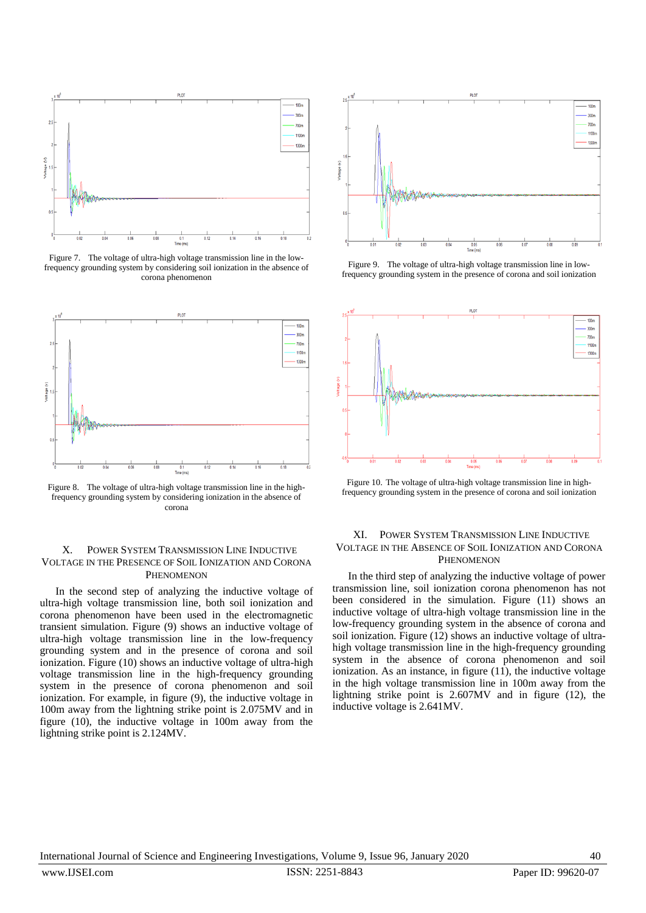

Figure 7. The voltage of ultra-high voltage transmission line in the lowfrequency grounding system by considering soil ionization in the absence of corona phenomenon



Figure 8. The voltage of ultra-high voltage transmission line in the highfrequency grounding system by considering ionization in the absence of corona

## X. POWER SYSTEM TRANSMISSION LINE INDUCTIVE VOLTAGE IN THE PRESENCE OF SOIL IONIZATION AND CORONA PHENOMENON

In the second step of analyzing the inductive voltage of ultra-high voltage transmission line, both soil ionization and corona phenomenon have been used in the electromagnetic transient simulation. Figure (9) shows an inductive voltage of ultra-high voltage transmission line in the low-frequency grounding system and in the presence of corona and soil ionization. Figure (10) shows an inductive voltage of ultra-high voltage transmission line in the high-frequency grounding system in the presence of corona phenomenon and soil ionization. For example, in figure (9), the inductive voltage in 100m away from the lightning strike point is 2.075MV and in figure (10), the inductive voltage in 100m away from the lightning strike point is 2.124MV.



Figure 9. The voltage of ultra-high voltage transmission line in lowfrequency grounding system in the presence of corona and soil ionization



Figure 10. The voltage of ultra-high voltage transmission line in highfrequency grounding system in the presence of corona and soil ionization

# XI. POWER SYSTEM TRANSMISSION LINE INDUCTIVE VOLTAGE IN THE ABSENCE OF SOIL IONIZATION AND CORONA PHENOMENON

In the third step of analyzing the inductive voltage of power transmission line, soil ionization corona phenomenon has not been considered in the simulation. Figure (11) shows an inductive voltage of ultra-high voltage transmission line in the low-frequency grounding system in the absence of corona and soil ionization. Figure (12) shows an inductive voltage of ultrahigh voltage transmission line in the high-frequency grounding system in the absence of corona phenomenon and soil ionization. As an instance, in figure (11), the inductive voltage in the high voltage transmission line in 100m away from the lightning strike point is 2.607MV and in figure (12), the inductive voltage is 2.641MV.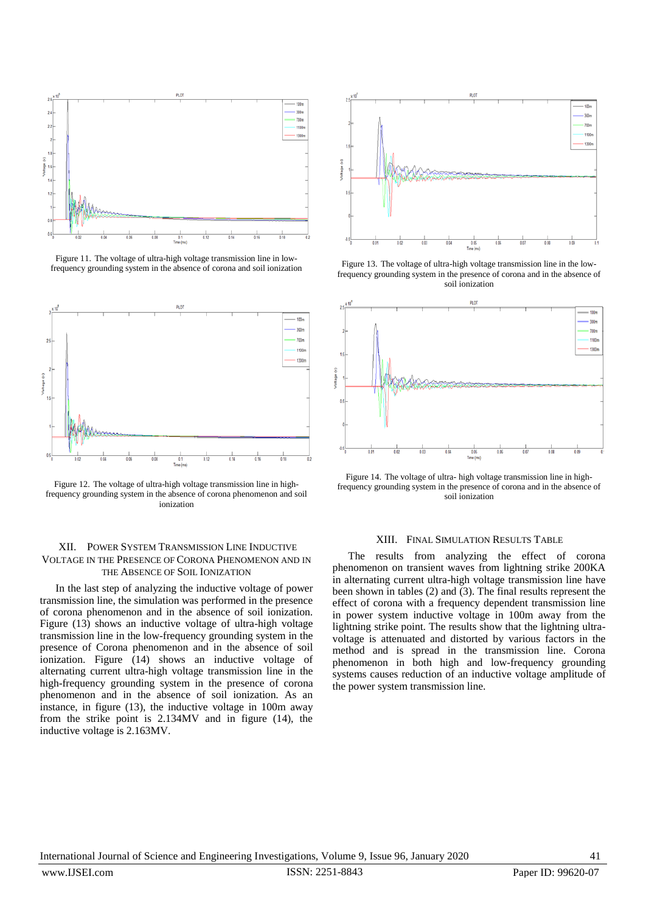

Figure 11. The voltage of ultra-high voltage transmission line in lowfrequency grounding system in the absence of corona and soil ionization



Figure 12. The voltage of ultra-high voltage transmission line in highfrequency grounding system in the absence of corona phenomenon and soil ionization

## XII. POWER SYSTEM TRANSMISSION LINE INDUCTIVE VOLTAGE IN THE PRESENCE OF CORONA PHENOMENON AND IN THE ABSENCE OF SOIL IONIZATION

In the last step of analyzing the inductive voltage of power transmission line, the simulation was performed in the presence of corona phenomenon and in the absence of soil ionization. Figure (13) shows an inductive voltage of ultra-high voltage transmission line in the low-frequency grounding system in the presence of Corona phenomenon and in the absence of soil ionization. Figure (14) shows an inductive voltage of alternating current ultra-high voltage transmission line in the high-frequency grounding system in the presence of corona phenomenon and in the absence of soil ionization. As an instance, in figure (13), the inductive voltage in 100m away from the strike point is 2.134MV and in figure (14), the inductive voltage is 2.163MV.



Figure 13. The voltage of ultra-high voltage transmission line in the lowfrequency grounding system in the presence of corona and in the absence of soil ionization



Figure 14. The voltage of ultra- high voltage transmission line in highfrequency grounding system in the presence of corona and in the absence of soil ionization

## XIII. FINAL SIMULATION RESULTS TABLE

The results from analyzing the effect of corona phenomenon on transient waves from lightning strike 200KA in alternating current ultra-high voltage transmission line have been shown in tables (2) and (3). The final results represent the effect of corona with a frequency dependent transmission line in power system inductive voltage in 100m away from the lightning strike point. The results show that the lightning ultravoltage is attenuated and distorted by various factors in the method and is spread in the transmission line. Corona phenomenon in both high and low-frequency grounding systems causes reduction of an inductive voltage amplitude of the power system transmission line.